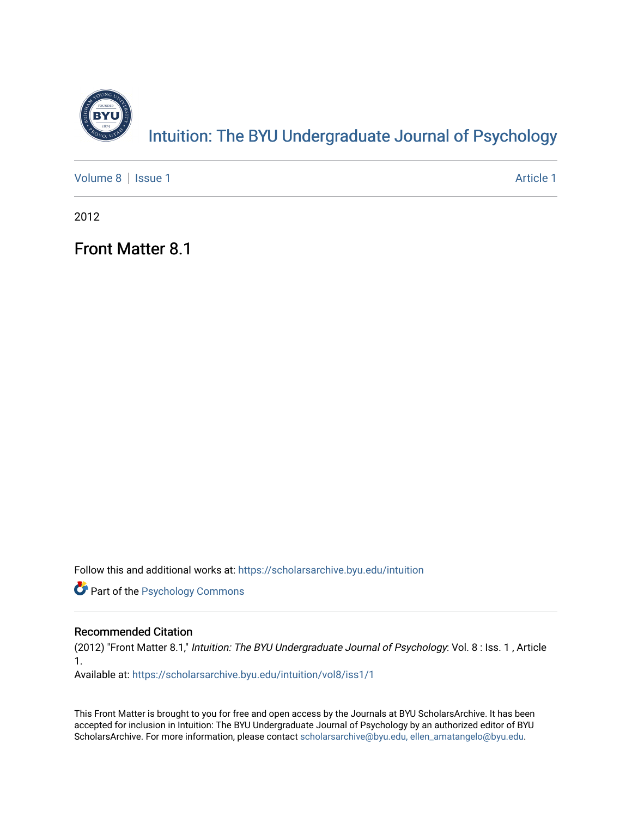

[Volume 8](https://scholarsarchive.byu.edu/intuition/vol8) | [Issue 1](https://scholarsarchive.byu.edu/intuition/vol8/iss1) Article 1

2012

Front Matter 8.1

Follow this and additional works at: [https://scholarsarchive.byu.edu/intuition](https://scholarsarchive.byu.edu/intuition?utm_source=scholarsarchive.byu.edu%2Fintuition%2Fvol8%2Fiss1%2F1&utm_medium=PDF&utm_campaign=PDFCoverPages) 

**Part of the Psychology Commons** 

#### Recommended Citation

(2012) "Front Matter 8.1," Intuition: The BYU Undergraduate Journal of Psychology: Vol. 8 : Iss. 1 , Article 1.

Available at: [https://scholarsarchive.byu.edu/intuition/vol8/iss1/1](https://scholarsarchive.byu.edu/intuition/vol8/iss1/1?utm_source=scholarsarchive.byu.edu%2Fintuition%2Fvol8%2Fiss1%2F1&utm_medium=PDF&utm_campaign=PDFCoverPages)

This Front Matter is brought to you for free and open access by the Journals at BYU ScholarsArchive. It has been accepted for inclusion in Intuition: The BYU Undergraduate Journal of Psychology by an authorized editor of BYU ScholarsArchive. For more information, please contact [scholarsarchive@byu.edu, ellen\\_amatangelo@byu.edu.](mailto:scholarsarchive@byu.edu,%20ellen_amatangelo@byu.edu)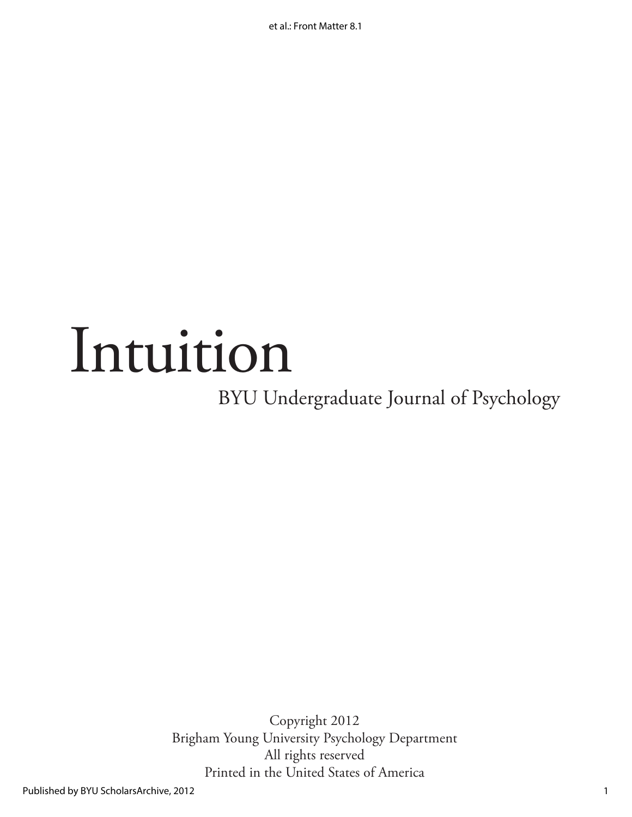et al.: Front Matter 8.1

# Intuition

BYU Undergraduate Journal of Psychology

Copyright 2012 Brigham Young University Psychology Department All rights reserved Printed in the United States of America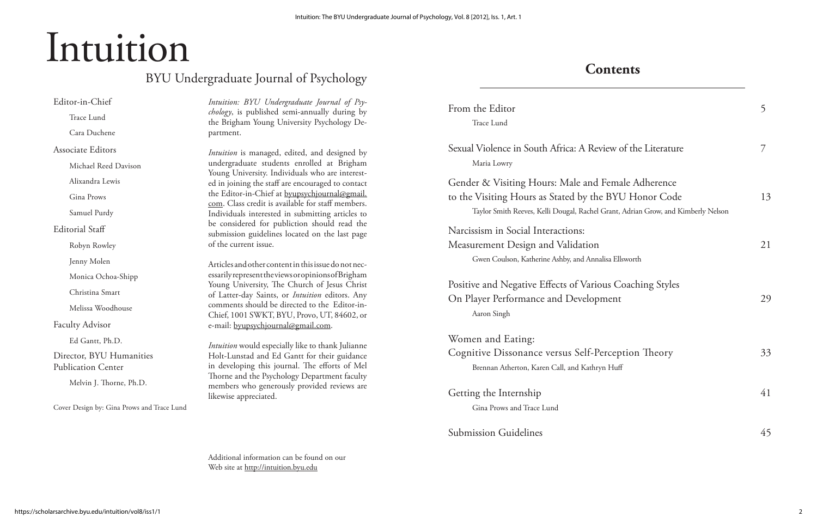## Intuition

### BYU Undergraduate Journal of Psychology

Editor-in-Chief Trace Lund Cara Duchene Associate Editors Michael Reed Davison Alixandra Lewis Gina Prows Samuel Purdy Editorial Staff Robyn Rowley Jenny Molen Monica Ochoa-Shipp Christina Smart Melissa Woodhouse Faculty Advisor Ed Gantt, Ph.D. Director, BYU Humanities Publication Center Melvin J. Thorne, Ph.D.

Cover Design by: Gina Prows and Trace Lund

*Intuition: BYU Undergraduate Journal of Psychology*, is published semi-annually during by the Brigham Young University Psychology Department.

*Intuition* is managed, edited, and designed by undergraduate students enrolled at Brigham Young University. Individuals who are interested in joining the staff are encouraged to contact the Editor-in-Chief at byupsychjournal@gmail. com. Class credit is available for staff members. Individuals interested in submitting articles to be considered for publiction should read the submission guidelines located on the last page of the current issue.

From the Editor Trace Lund

Sexual Violence in South Africa: A Rev Maria Lowry

Gender & Visiting Hours: Male and to the Visiting Hours as Stated by the Taylor Smith Reeves, Kelli Dougal, Rachel G

Narcissism in Social Interactions: Measurement Design and Validation Gwen Coulson, Katherine Ashby, and Anna

Positive and Negative Effects of Various On Player Performance and Developr Aaron Singh

Women and Eating: Cognitive Dissonance versus Self-Pe Brennan Atherton, Karen Call, and Kathry

Articles and other content in this issue do not necessarily represent the views or opinions of Brigham Young University, The Church of Jesus Christ of Latter-day Saints, or *Intuition* editors. Any comments should be directed to the Editor-in-Chief, 1001 SWKT, BYU, Provo, UT, 84602, or e-mail: byupsychjournal@gmail.com.

> Getting the Internship Gina Prows and Trace Lund

Submission Guidelines

*Intuition* would especially like to thank Julianne Holt-Lunstad and Ed Gantt for their guidance in developing this journal. The efforts of Mel Thorne and the Psychology Department faculty members who generously provided reviews are likewise appreciated.

Additional information can be found on our Web site at http://intuition.byu.edu

#### **Contents**

|                                                                                      | 5  |
|--------------------------------------------------------------------------------------|----|
| iew of the Literature                                                                | 7  |
| Female Adherence<br><b>BYU Honor Code</b><br>Grant, Adrian Grow, and Kimberly Nelson | 13 |
| lisa Ellsworth                                                                       | 21 |
| us Coaching Styles<br>nent                                                           | 29 |
| erception Theory<br>n Huff                                                           | 33 |
|                                                                                      | 41 |
|                                                                                      | 45 |